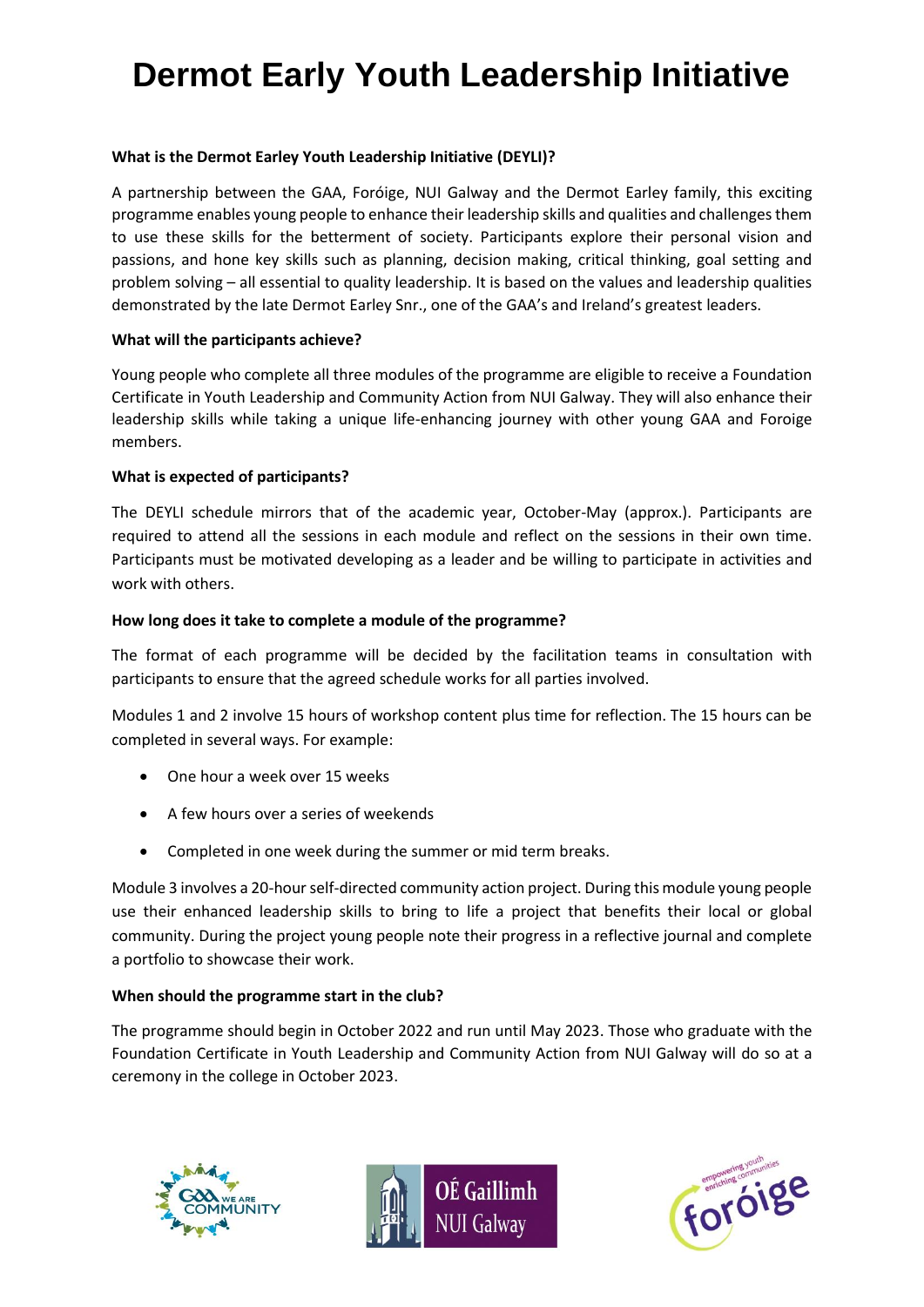# **Dermot Early Youth Leadership Initiative**

# **What is the Dermot Earley Youth Leadership Initiative (DEYLI)?**

A partnership between the GAA, Foróige, NUI Galway and the Dermot Earley family, this exciting programme enables young people to enhance their leadership skills and qualities and challenges them to use these skills for the betterment of society. Participants explore their personal vision and passions, and hone key skills such as planning, decision making, critical thinking, goal setting and problem solving – all essential to quality leadership. It is based on the values and leadership qualities demonstrated by the late Dermot Earley Snr., one of the GAA's and Ireland's greatest leaders.

## **What will the participants achieve?**

Young people who complete all three modules of the programme are eligible to receive a Foundation Certificate in Youth Leadership and Community Action from NUI Galway. They will also enhance their leadership skills while taking a unique life-enhancing journey with other young GAA and Foroige members.

## **What is expected of participants?**

The DEYLI schedule mirrors that of the academic year, October-May (approx.). Participants are required to attend all the sessions in each module and reflect on the sessions in their own time. Participants must be motivated developing as a leader and be willing to participate in activities and work with others.

#### **How long does it take to complete a module of the programme?**

The format of each programme will be decided by the facilitation teams in consultation with participants to ensure that the agreed schedule works for all parties involved.

Modules 1 and 2 involve 15 hours of workshop content plus time for reflection. The 15 hours can be completed in several ways. For example:

- One hour a week over 15 weeks
- A few hours over a series of weekends
- Completed in one week during the summer or mid term breaks.

Module 3 involves a 20-hourself-directed community action project. During this module young people use their enhanced leadership skills to bring to life a project that benefits their local or global community. During the project young people note their progress in a reflective journal and complete a portfolio to showcase their work.

## **When should the programme start in the club?**

The programme should begin in October 2022 and run until May 2023. Those who graduate with the Foundation Certificate in Youth Leadership and Community Action from NUI Galway will do so at a ceremony in the college in October 2023.





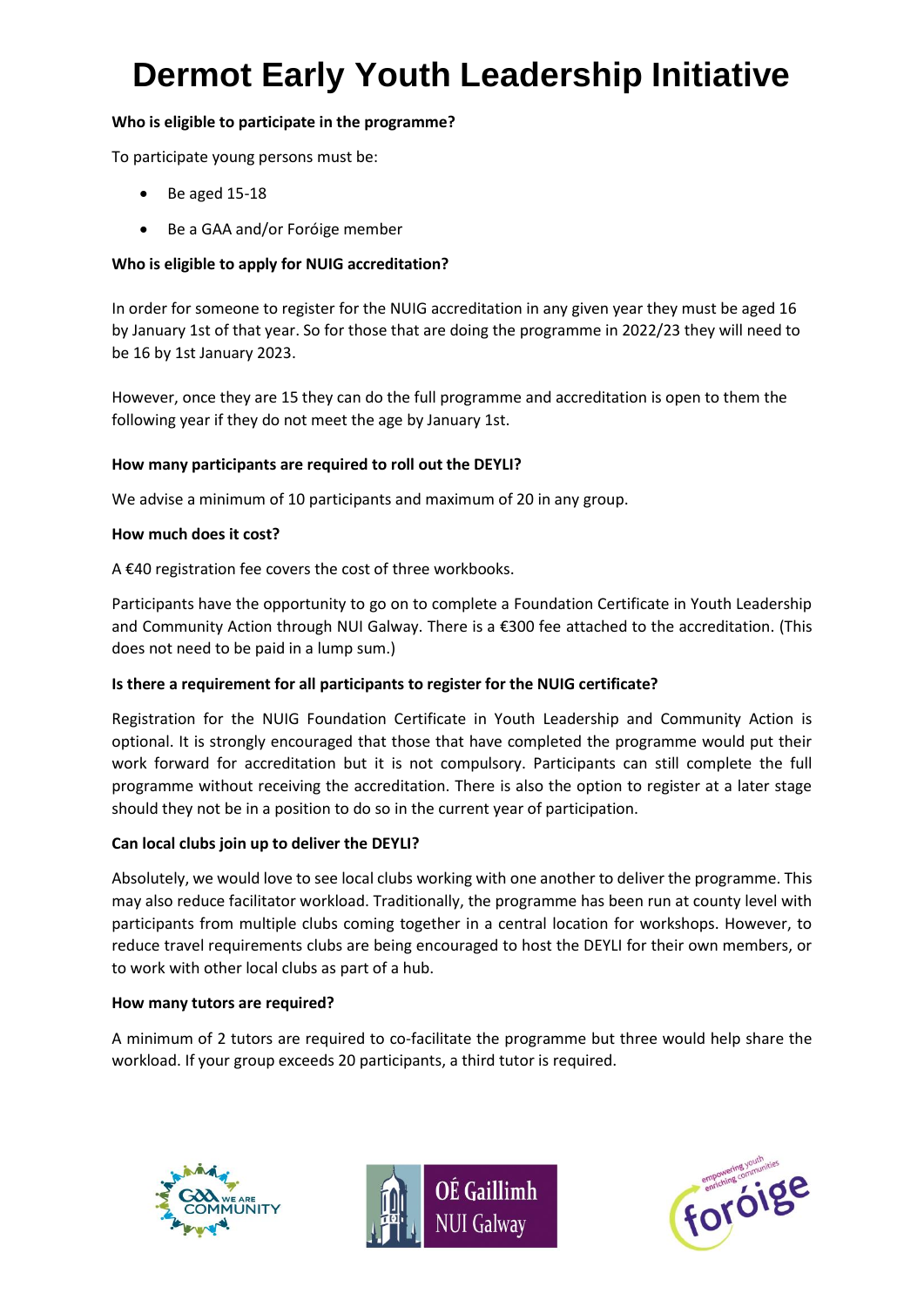# **Dermot Early Youth Leadership Initiative**

# **Who is eligible to participate in the programme?**

To participate young persons must be:

- Be aged 15-18
- Be a GAA and/or Foróige member

# **Who is eligible to apply for NUIG accreditation?**

In order for someone to register for the NUIG accreditation in any given year they must be aged 16 by January 1st of that year. So for those that are doing the programme in 2022/23 they will need to be 16 by 1st January 2023.

However, once they are 15 they can do the full programme and accreditation is open to them the following year if they do not meet the age by January 1st.

# **How many participants are required to roll out the DEYLI?**

We advise a minimum of 10 participants and maximum of 20 in any group.

# **How much does it cost?**

A €40 registration fee covers the cost of three workbooks.

Participants have the opportunity to go on to complete a Foundation Certificate in Youth Leadership and Community Action through NUI Galway. There is a €300 fee attached to the accreditation. (This does not need to be paid in a lump sum.)

# **Is there a requirement for all participants to register for the NUIG certificate?**

Registration for the NUIG Foundation Certificate in Youth Leadership and Community Action is optional. It is strongly encouraged that those that have completed the programme would put their work forward for accreditation but it is not compulsory. Participants can still complete the full programme without receiving the accreditation. There is also the option to register at a later stage should they not be in a position to do so in the current year of participation.

# **Can local clubs join up to deliver the DEYLI?**

Absolutely, we would love to see local clubs working with one another to deliver the programme. This may also reduce facilitator workload. Traditionally, the programme has been run at county level with participants from multiple clubs coming together in a central location for workshops. However, to reduce travel requirements clubs are being encouraged to host the DEYLI for their own members, or to work with other local clubs as part of a hub.

## **How many tutors are required?**

A minimum of 2 tutors are required to co-facilitate the programme but three would help share the workload. If your group exceeds 20 participants, a third tutor is required.